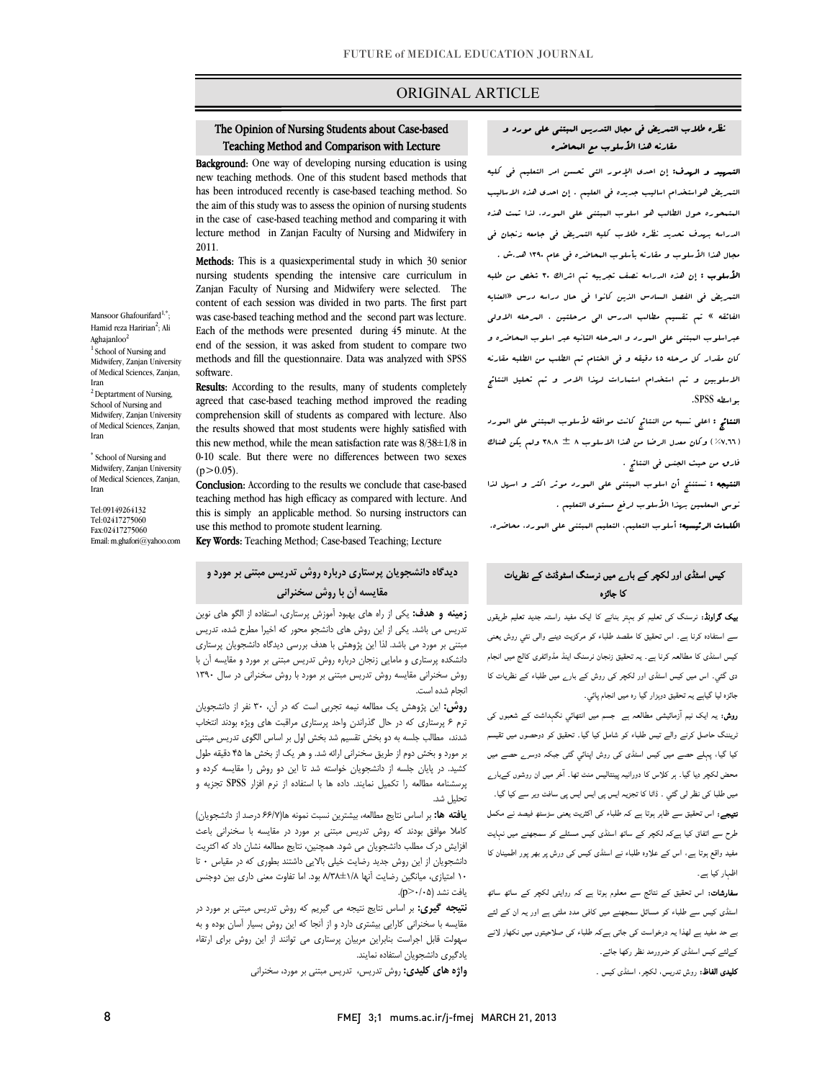### ORIGINAL ARTICLE

# The Opinion of Nursing Students about Case-based Teaching Method and Comparison with Lecture

i

Background: One way of developing nursing education is using new teaching methods. One of this student based methods that has been introduced recently is case-based teaching method. So the aim of this study was to assess the opinion of nursing students lecture method in Zanjan Faculty of Nursing and Midwifery in in the case of case-based teaching method and comparing it with 2011.

 Methods: This is a quasiexperimental study in which 30 senior Zanjan Faculty of Nursing and Midwifery were selected. The content of each session was divided in two parts. The first part was case-based teaching method and the second part was lecture. end of the session, it was asked from student to compare two methods and fill the questionnaire. Data was analyzed with SPSS nursing students spending the intensive care curriculum in Each of the methods were presented during 45 minute. At the software.

soltware.<br>**Results:** According to the results, many of students completely agreed that case-based teaching method improved the reading comprehension skill of students as compared with lecture. Also the results showed that most students were highly satisfied with 0-10 scale. But there were no differences between two sexes this new method, while the mean satisfaction rate was 8/38±1/8 in  $(p>0.05)$ .

**Conclusion:** According to the results we conclude that case-based this is simply an applicable method. So nursing instructors can use this method to promote student learning. teaching method has high efficacy as compared with lecture. And

Key Words: Teaching Method; Case-based Teaching; Lecture

## **ديدگاه دانشجويان پرستاري درباره روش تدريس مبتني بر مورد و مقايسه آن با روش سخنراني**

 **زمينه و هدف:** يكي از راه هاي بهبود آموزش پرستاري، استفاده از الگو هاي نوين مبريس مي باشد. ياي از اين روس ماي ماشدبو مانور به اميرا، منترج شده ماريس<br>مبتني بر مورد مي باشد. لذا اين پژوهش با هدف بررسي ديدگاه دانشجويان پرستاري دانشكده پرستاري و مامايي زنجان درباره روش تدريس مبتني بر مورد و مقايسه آن با روش سخنراني مقايسه روش تدريس مبتني بر مورد با روش سخنراني در سال 1390 تدريس مي باشد. يكي از اين روش هاي دانشجو محور كه اخيرا مطرح شده، تدريس انجام شده است.

 **روش:** اين پژوهش يك مطالعه نيمه تجربي است كه در آن، 30 نفر از دانشجويان ترم 6 پرستاري كه در حال گذراندن واحد پرستاري مراقبت هاي ويژه بودند انتخاب بر مورد و بخش دوم از طريق سخنراني ارائه شد. و هر يك از بخش ها 45 دقيقه طول كشيد. در پايان جلسه از دانشجويان خواسته شد تا اين دو روش را مقايسه كرده و پرسشنامه مطالعه را تكميل نمايند. داده ها با استفاده از نرم افزار SPSS تجزيه و شدند، مطالب جلسه به دو بخش تقسيم شد بخش اول بر اساس الگوي تدريس مبتني تحليل شد.

 **يافته ها:** بر اساس نتايج مطالعه، بيشترين نسبت نمونه ها(66/7 درصد از دانشجويان) ر بن جزر مركز بن كانت كانت كانت كانت كانت من شد.<br>افزايش درك مطلب دانشجويان مي شود. همچنين، نتايج مطالعه نشان داد كه اكثريت دانشجويان از اين روش جديد رضايت خيلي بالايي داشتند بطوري كه در مقياس • تا 10 امتيازي، ميانگين رضايت آنها 8/38±1/8 بود. اما تفاوت معني داري بين دوجنس كاملا موافق بودند كه روش تدريس مبتني بر مورد در مقايسه با سخنراني باعث يافت نشد (0/05<p(.

 **نتيجه گيري:** بر اساس نتايج نتيجه مي گيريم كه روش تدريس مبتني بر مورد در سه قابل قابل قابل قابل اجرا مرد از استان من تار من المرد از اين روش براي ارتقاء<br>سهولت قابل اجراست بنابراين مربيان پرستاري مي توانند از اين روش براي ارتقاء يادگيري دانشجويان استفاده نمايند. مقايسه با سخنراني كارايي بيشتري دارد و از آنجا كه اين روش بسيار آسان بوده و به

**واژه هاي كليدي:** روش تدريس، تدريس مبتني بر مورد، سخنراني

## نظره طلاب التمريض في مجال التدريس الببتني على مورد و<br>-مقارنه هذا الأسلوب مع المحاضره

i

**التسهيد و الهدف:** إن احدى الإمور الت<sub>ى</sub> تحسن امر التعليم ف<sub>ى</sub> كليه التمريض هواستخدام اساليب جديده في العليم . إن احدي هذه الاساليب المتمحوره حول الطالب هو اسلوب المبتني علي المورد. لذا تمت هذه الدراسه بهدف تحديد نظره طلاب كليه التمريض في جامعه زنجان في مجال هذا الأسلوب و مقارنه بأسلوب المحاضره في عام 1390 هد.ش . **الأسلوب :** إن هذه الدراسه نصف تجربيه تم اثراك ٣٠ شخص من طلبه<br>. التمريض في الفصل السادس الذين كانوا في حال دراسه درس «العنايه الفائقه » تم تقسيم مطالب الدرس الي مرحلتين ، المرحله الاولي عبراسلوب المبتني علي المورد و المرحله الثانيه عبر اسلوب المحاضره و كان مقدار كل مرحله 45 دقيقه و في الختام تم الطلب من الطلبه مقارنه الاسلوبين و تم استخدام استمارات لهذا الامر و تم تحليل النتائج بواسطه SPSS.

 النتائج : اعلي نسبه من النتائج كانت موافقه لأسلوب المبتني علي المورد ( ٦٦,٦٪ ) وكان معدل الرضا من هذا الاسلوب ٨ ± ٦٨.٨ ولم يكن هناك<br>. فارق من حيث الجنس في النتائج .

ا**لنتيجه :** نستنتج أن ا<sub>لملو</sub>ب الببتنى على ال<sub>مو</sub>رد موثر اكثر و اسهل لذا نوسي المعلمين بهذا الأسلوب لرفع مستوي التعليم .

**الكلمات الرئيسيه:** أسلوب التعليم، التعليم المبتنى على المورد، محاضره.

#### کیس اسٹڈی اور لکچر کے بارے میں نرسنگ اسٹوڈنٹ کے نظریات کا جائزہ

 بیک گراونڈ: نرسنگ کی تعلیم کو بہتر بنانے کا ایک مفید راستہ جدید تعلیم طریقوں سے استفادہ کرنا ہے۔ اس تحقیق کا مقصد طلباء کو مرکزیت دینے والی نئي روش یعنی کیس اسٹڈی کا مطالعہ کرنا ہے۔ یہ تحقیق زنجان نرسنگ اینڈ مڈوائفری کالج میں انجام دی گئي۔ اس میں کیس اسٹڈی اور لکچر کی روش کے بارے میں طلباء کے نظریات کا جائزہ لیا گياہے یہ تحقیق دوہزار گيا رہ میں انجام پائي۔

**روش:** یہ ایک نیم آزمائیشی مطالعہ ہے جسم میں انتھائي نگہداشت کے شعبوں کی ٹریننگ حاصل کرنے والے تیس طلباء کو شامل کیا گيا۔ تحقیق کو دوحصوں میں تقیسم کیا گیا، پہلے حصے میں کیس اسٹڈی کی روش اپنائي گئی جبکہ دوسرے حصے میں محض لکچر دیا گيا۔ ہر کلاس کا دورانیہ پینتالیس منٹ تھا۔ آخر میں ان روشوں کےبارے میں طلبا کی نظر لی گئي ۔ ڈاٹا کا تجزیہ ایس پی ایس ایس پی سافٹ ویر سے کیا گيا۔ **نتیجے:** اس تحقیق سے ظاہر ہوتا ہے کہ طلباء کی اکثریت یعنی سڑسٹھ فیصد نے مکمل<br>۔ طرح سے اتفاق کیا ہےکہ لکچر کے ساتھ اسٹڈی کیس مسئلے کو سمجھنے میں نہایت مفید واقع ہوتا ہے، اس کے علاوہ طلباء نے اسٹڈی کیس کی ورش پر بھر پور اطمینان کا اظہار کیا ہے۔

 سفارشات: اس تحقیق کے نتائج سے معلوم ہوتا ہے کہ روایتی لکچر کے ساتھ ساتھ اسٹڈی کیس سے طلباء کو مسائل سمجھنے میں کافی مدد ملتی ہے اور یہ ان کے لئے بے حد مفید ہے لھذا یہ درخواست کی جاتی ہےکہ طلباء کی صلاحیتوں میں نکھار لانے کےلئے کیس اسٹڈی کو ضرورمد نظر رکھا جائے۔

**کلیدی الفاظ:** روش تدریس، لکچر، اسٹڈی کیس ۔

Mansoor Ghafourifard<sup>1,\*</sup> Hamid reza Haririan<sup>2</sup>; Ali Aghajanloo2 <sup>1</sup> School of Nursing and Midwifery, Zanjan University of Medical Sciences, Zanjan, Iran <sup>2</sup> Deptartment of Nursing,

School of Nursing and Midwifery, Zanjan University of Medical Sciences, Zanjan, Iran

\* School of Nursing and Midwifery, Zanjan University of Medical Sciences, Zanjan, Iran

Tel:09149264132 Tel:02417275060 Fax:02417275060 Email: m.ghafori@yahoo.com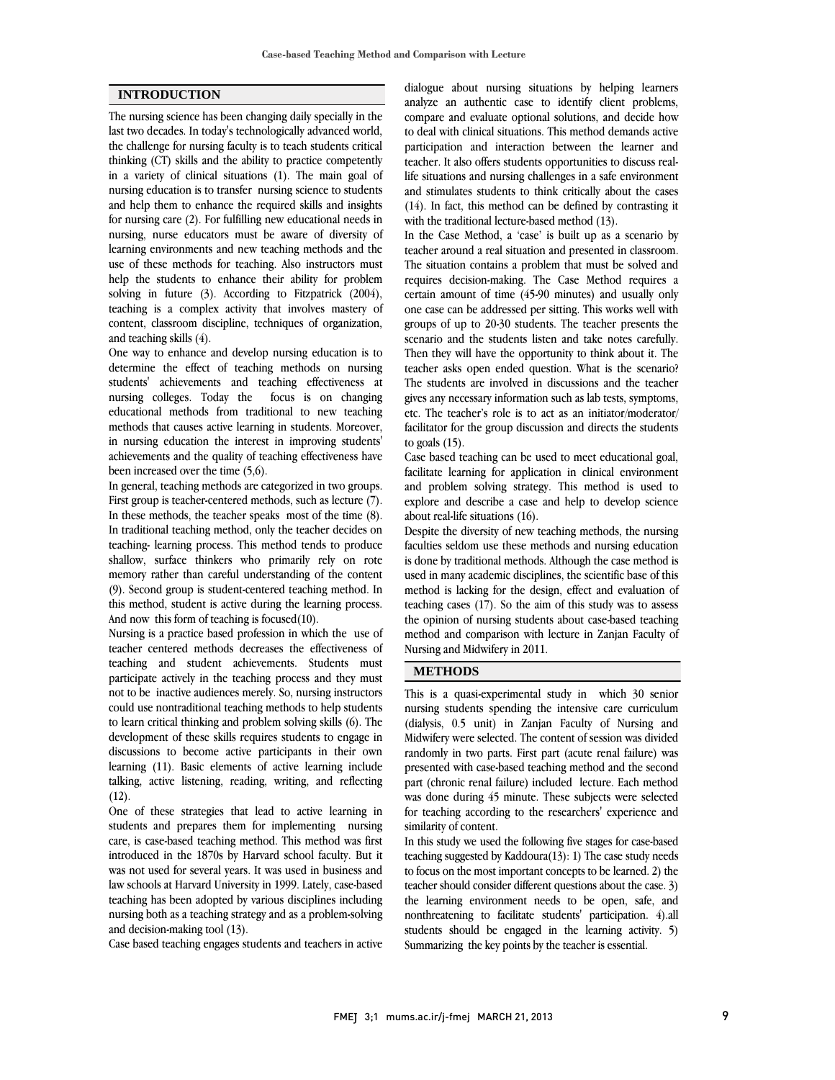#### **INTRODUCTION**

The nursing science has been changing daily specially in the last two decades. In today's technologically advanced world, the challenge for nursing faculty is to teach students critical thinking (CT) skills and the ability to practice competently in a variety of clinical situations (1). The main goal of nursing education is to transfer nursing science to students and help them to enhance the required skills and insights for nursing care (2). For fulfilling new educational needs in nursing, nurse educators must be aware of diversity of learning environments and new teaching methods and the use of these methods for teaching. Also instructors must help the students to enhance their ability for problem solving in future (3). According to Fitzpatrick (2004), teaching is a complex activity that involves mastery of content, classroom discipline, techniques of organization, and teaching skills (4).

One way to enhance and develop nursing education is to determine the effect of teaching methods on nursing students' achievements and teaching effectiveness at nursing colleges. Today the focus is on changing educational methods from traditional to new teaching methods that causes active learning in students. Moreover, in nursing education the interest in improving students' achievements and the quality of teaching effectiveness have been increased over the time (5,6).

In general, teaching methods are categorized in two groups. First group is teacher-centered methods, such as lecture (7). In these methods, the teacher speaks most of the time (8). In traditional teaching method, only the teacher decides on teaching- learning process. This method tends to produce shallow, surface thinkers who primarily rely on rote memory rather than careful understanding of the content (9). Second group is student-centered teaching method. In this method, student is active during the learning process. And now this form of teaching is focused(10).

Nursing is a practice based profession in which the use of teacher centered methods decreases the effectiveness of teaching and student achievements. Students must participate actively in the teaching process and they must not to be inactive audiences merely. So, nursing instructors could use nontraditional teaching methods to help students to learn critical thinking and problem solving skills (6). The development of these skills requires students to engage in discussions to become active participants in their own learning (11). Basic elements of active learning include talking, active listening, reading, writing, and reflecting  $(12).$ 

One of these strategies that lead to active learning in students and prepares them for implementing nursing care, is case-based teaching method. This method was first introduced in the 1870s by Harvard school faculty. But it was not used for several years. It was used in business and law schools at Harvard University in 1999. Lately, case-based teaching has been adopted by various disciplines including nursing both as a teaching strategy and as a problem-solving and decision-making tool (13).

Case based teaching engages students and teachers in active

 dialogue about nursing situations by helping learners analyze an authentic case to identify client problems, compare and evaluate optional solutions, and decide how to deal with clinical situations. This method demands active teacher. It also offers students opportunities to discuss real- life situations and nursing challenges in a safe environment and stimulates students to think critically about the cases (14). In fact, this method can be defined by contrasting it participation and interaction between the learner and with the traditional lecture-based method (13).

In the Case Method, a 'case' is built up as a scenario by teacher around a real situation and presented in classroom. The situation contains a problem that must be solved and requires decision-making. The Case Method requires a one case can be addressed per sitting. This works well with groups of up to 20-30 students. The teacher presents the scenario and the students listen and take notes carefully. Then they will have the opportunity to think about it. The The students are involved in discussions and the teacher gives any necessary information such as lab tests, symptoms, etc. The teacher's role is to act as an initiator/moderator/ facilitator for the group discussion and directs the students certain amount of time (45-90 minutes) and usually only teacher asks open ended question. What is the scenario? to goals  $(15)$ .

 Case based teaching can be used to meet educational goal, facilitate learning for application in clinical environment and problem solving strategy. This method is used to explore and describe a case and help to develop science about real-life situations (16).

 Despite the diversity of new teaching methods, the nursing faculties seldom use these methods and nursing education is done by traditional methods. Although the case method is used in many academic disciplines, the scientific base of this teaching cases (17). So the aim of this study was to assess the opinion of nursing students about case-based teaching method and comparison with lecture in Zanjan Faculty of Nursing and Midwifery in 2011. method is lacking for the design, effect and evaluation of

#### **METHODS**

 This is a quasi-experimental study in which 30 senior nursing students spending the intensive care curriculum (dialysis, 0.5 unit) in Zanjan Faculty of Nursing and randomly in two parts. First part (acute renal failure) was presented with case-based teaching method and the second part (chronic renal failure) included lecture. Each method was done during 45 minute. These subjects were selected similarity of content. Midwifery were selected. The content of session was divided for teaching according to the researchers' experience and

 In this study we used the following five stages for case-based teaching suggested by Kaddoura(13): 1) The case study needs to focus on the most important concepts to be learned. 2) the the learning environment needs to be open, safe, and nonthreatening to facilitate students' participation. 4).all students should be engaged in the learning activity. 5) Summarizing the key points by the teacher is essential. teacher should consider different questions about the case. 3)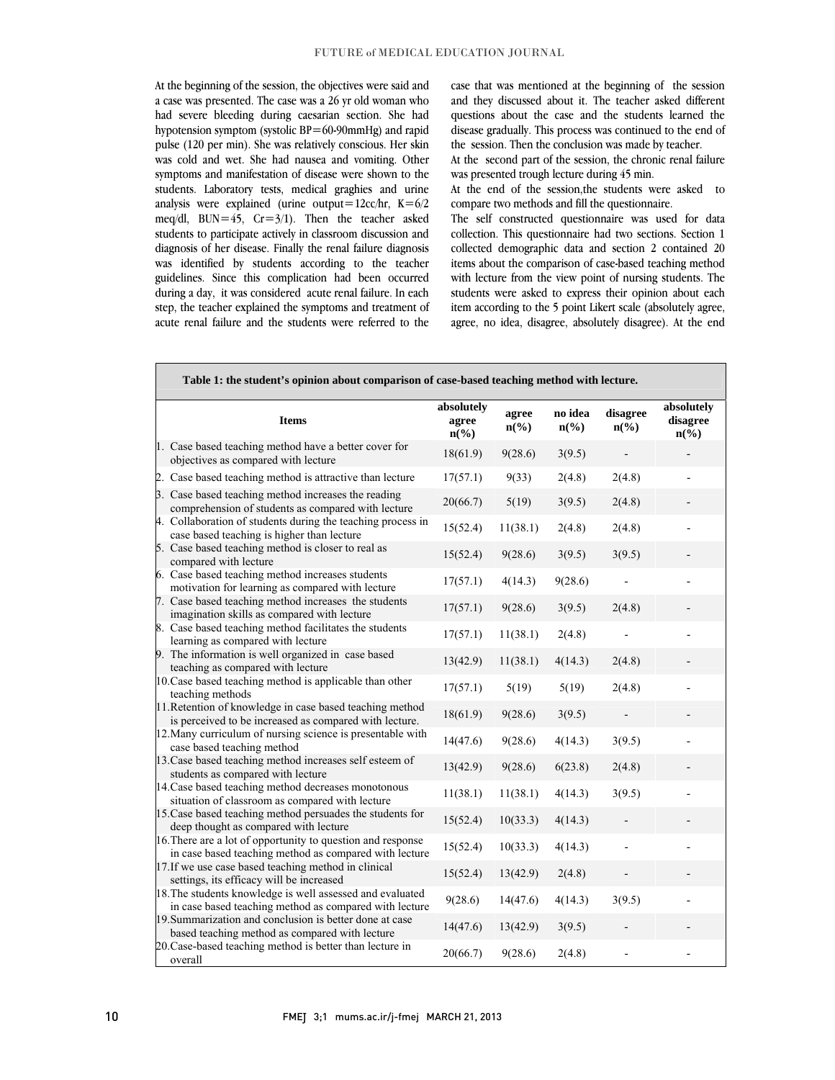At the beginning of the session, the objectives were said and a case was presented. The case was a 26 yr old woman who had severe bleeding during caesarian section. She had pulse (120 per min). She was relatively conscious. Her skin was cold and wet. She had nausea and vomiting. Other symptoms and manifestation of disease were shown to the students. Laboratory tests, medical graghies and urine  $\text{mag}$ s were explained (unite output  $\text{Zc}$ / $m$ ,  $\text{R} = 0/2$ )<br>meq/dl, BUN=45, Cr=3/1). Then the teacher asked students to participate actively in classroom discussion and diagnosis of her disease. Finally the renal failure diagnosis was identified by students according to the teacher during a day, it was considered acute renal failure. In each step, the teacher explained the symptoms and treatment of acute renal failure and the students were referred to thehypotension symptom (systolic BP=60-90mmHg) and rapid analysis were explained (urine output=12cc/hr,  $K=6/2$ guidelines. Since this complication had been occurred

 case that was mentioned at the beginning of the session and they discussed about it. The teacher asked different questions about the case and the students learned the the session. Then the conclusion was made by teacher. disease gradually. This process was continued to the end of

At the second part of the session, the chronic renal failure was presented trough lecture during 45 min.

 At the end of the session,the students were asked to compare two methods and fill the questionnaire.

 The self constructed questionnaire was used for data collection. This questionnaire had two sections. Section 1 collected demographic data and section 2 contained 20 items about the comparison of case-based teaching method students were asked to express their opinion about each item according to the 5 point Likert scale (absolutely agree, agree, no idea, disagree, absolutely disagree). At the end with lecture from the view point of nursing students. The

 $\overline{a}$ 

j

| <b>Items</b>                                                                                                          | absolutely<br>agree<br>$n\left(\frac{0}{0}\right)$ | agree<br>$n\left(\frac{6}{6}\right)$ | no idea<br>$n\left(\frac{6}{6}\right)$ | disagree<br>$n\left(\frac{6}{6}\right)$ | absolutely<br>disagree<br>$n\left(\frac{0}{0}\right)$ |
|-----------------------------------------------------------------------------------------------------------------------|----------------------------------------------------|--------------------------------------|----------------------------------------|-----------------------------------------|-------------------------------------------------------|
| 1. Case based teaching method have a better cover for<br>objectives as compared with lecture                          | 18(61.9)                                           | 9(28.6)                              | 3(9.5)                                 |                                         |                                                       |
| 2. Case based teaching method is attractive than lecture                                                              | 17(57.1)                                           | 9(33)                                | 2(4.8)                                 | 2(4.8)                                  |                                                       |
| 3. Case based teaching method increases the reading<br>comprehension of students as compared with lecture             | 20(66.7)                                           | 5(19)                                | 3(9.5)                                 | 2(4.8)                                  |                                                       |
| 4. Collaboration of students during the teaching process in<br>case based teaching is higher than lecture             | 15(52.4)                                           | 11(38.1)                             | 2(4.8)                                 | 2(4.8)                                  |                                                       |
| 5. Case based teaching method is closer to real as<br>compared with lecture                                           | 15(52.4)                                           | 9(28.6)                              | 3(9.5)                                 | 3(9.5)                                  |                                                       |
| 6. Case based teaching method increases students<br>motivation for learning as compared with lecture                  | 17(57.1)                                           | 4(14.3)                              | 9(28.6)                                |                                         |                                                       |
| 7. Case based teaching method increases the students<br>imagination skills as compared with lecture                   | 17(57.1)                                           | 9(28.6)                              | 3(9.5)                                 | 2(4.8)                                  |                                                       |
| 8. Case based teaching method facilitates the students<br>learning as compared with lecture                           | 17(57.1)                                           | 11(38.1)                             | 2(4.8)                                 |                                         |                                                       |
| 9. The information is well organized in case based<br>teaching as compared with lecture                               | 13(42.9)                                           | 11(38.1)                             | 4(14.3)                                | 2(4.8)                                  |                                                       |
| 10. Case based teaching method is applicable than other<br>teaching methods                                           | 17(57.1)                                           | 5(19)                                | 5(19)                                  | 2(4.8)                                  |                                                       |
| 11. Retention of knowledge in case based teaching method<br>is perceived to be increased as compared with lecture.    | 18(61.9)                                           | 9(28.6)                              | 3(9.5)                                 |                                         |                                                       |
| 12. Many curriculum of nursing science is presentable with<br>case based teaching method                              | 14(47.6)                                           | 9(28.6)                              | 4(14.3)                                | 3(9.5)                                  |                                                       |
| 13. Case based teaching method increases self esteem of<br>students as compared with lecture                          | 13(42.9)                                           | 9(28.6)                              | 6(23.8)                                | 2(4.8)                                  |                                                       |
| 14. Case based teaching method decreases monotonous<br>situation of classroom as compared with lecture                | 11(38.1)                                           | 11(38.1)                             | 4(14.3)                                | 3(9.5)                                  |                                                       |
| 15. Case based teaching method persuades the students for<br>deep thought as compared with lecture                    | 15(52.4)                                           | 10(33.3)                             | 4(14.3)                                |                                         |                                                       |
| 16. There are a lot of opportunity to question and response<br>in case based teaching method as compared with lecture | 15(52.4)                                           | 10(33.3)                             | 4(14.3)                                |                                         |                                                       |
| 17. If we use case based teaching method in clinical<br>settings, its efficacy will be increased                      | 15(52.4)                                           | 13(42.9)                             | 2(4.8)                                 |                                         |                                                       |
| 18. The students knowledge is well assessed and evaluated<br>in case based teaching method as compared with lecture   | 9(28.6)                                            | 14(47.6)                             | 4(14.3)                                | 3(9.5)                                  |                                                       |
| 19. Summarization and conclusion is better done at case<br>based teaching method as compared with lecture             | 14(47.6)                                           | 13(42.9)                             | 3(9.5)                                 |                                         |                                                       |
| 20. Case-based teaching method is better than lecture in<br>overall                                                   | 20(66.7)                                           | 9(28.6)                              | 2(4.8)                                 |                                         |                                                       |

### **Table 1: the student's opinion about comparison of case-based teaching method with lecture.**

 $\overline{a}$ 

j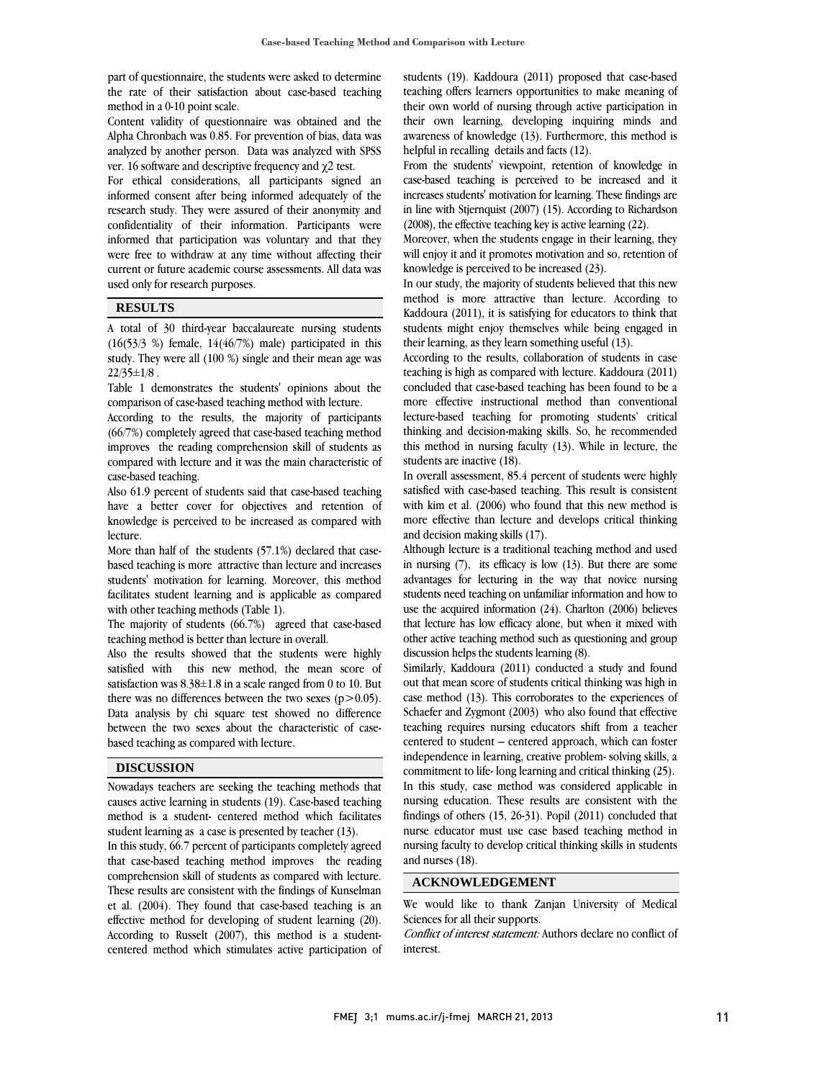part of questionnaire, the students were asked to determine the rate of their satisfaction about case-based teaching method in a 0-10 point scale.

Content validity of questionnaire was obtained and the Alpha Chronbach was 0.85. For prevention of bias, data was analyzed by another person. Data was analyzed with SPSS ver. 16 software and descriptive frequency and χ2 test.

For ethical considerations, all participants signed an informed consent after being informed adequately of the research study. They were assured of their anonymity and confidentiality of their information. Participants were informed that participation was voluntary and that they were free to withdraw at any time without affecting their current or future academic course assessments. All data was used only for research purposes.

#### **RESULTS**

A total of 30 third-year baccalaureate nursing students  $(16(53/3 \%)$  female,  $14(46/7\%)$  male) participated in this study. They were all (100 %) single and their mean age was  $22/35 \pm 1/8$ .

Table 1 demonstrates the students' opinions about the comparison of case-based teaching method with lecture.

According to the results, the majority of participants (66/7%) completely agreed that case-based teaching method improves the reading comprehension skill of students as compared with lecture and it was the main characteristic of case-based teaching.

Also 61.9 percent of students said that case-based teaching have a better cover for objectives and retention of knowledge is perceived to be increased as compared with lecture.

More than half of the students (57.1%) declared that casebased teaching is more attractive than lecture and increases students' motivation for learning. Moreover, this method facilitates student learning and is applicable as compared with other teaching methods (Table 1).

The majority of students (66.7%) agreed that case-based teaching method is better than lecture in overall.

Also the results showed that the students were highly satisfied with this new method, the mean score of satisfaction was 8.38±1.8 in a scale ranged from 0 to 10. But there was no differences between the two sexes  $(p>0.05)$ . Data analysis by chi square test showed no difference between the two sexes about the characteristic of casebased teaching as compared with lecture.

#### **DISCUSSION**

Nowadays teachers are seeking the teaching methods that causes active learning in students (19). Case-based teaching method is a student- centered method which facilitates student learning as a case is presented by teacher (13).

In this study, 66.7 percent of participants completely agreed that case-based teaching method improves the reading comprehension skill of students as compared with lecture. These results are consistent with the findings of Kunselman et al. (2004). They found that case-based teaching is an effective method for developing of student learning (20). According to Russelt (2007), this method is a studentcentered method which stimulates active participation of

 students (19). Kaddoura (2011) proposed that case-based their own world of nursing through active participation in their own learning, developing inquiring minds and awareness of knowledge (13). Furthermore, this method is helpful in recalling details and facts (12). teaching offers learners opportunities to make meaning of

 case-based teaching is perceived to be increased and it increases students' motivation for learning. These findings are in line with Stjernquist (2007) (15). According to Richardson (2008), the effective teaching key is active learning (22). From the students' viewpoint, retention of knowledge in

will enjoy it and it promotes motivation and so, retention of knowledge is perceived to be increased (23). Moreover, when the students engage in their learning, they

 In our study, the majority of students believed that this new method is more attractive than lecture. According to students might enjoy themselves while being engaged in their learning, as they learn something useful (13). Kaddoura (2011), it is satisfying for educators to think that

 According to the results, collaboration of students in case teaching is high as compared with lecture. Kaddoura (2011) more effective instructional method than conventional lecture-based teaching for promoting students' critical thinking and decision-making skills. So, he recommended this method in nursing faculty (13). While in lecture, the concluded that case-based teaching has been found to be a students are inactive (18).

 In overall assessment, 85.4 percent of students were highly satisfied with case-based teaching. This result is consistent with kim et al. (2006) who found that this new method is more effective than lecture and develops critical thinking and decision making skills (17).

Although lecture is a traditional teaching method and used in nursing (7), its efficacy is low (13). But there are some advantages for lecturing in the way that novice nursing students need teaching on unfamiliar information and how to that lecture has low efficacy alone, but when it mixed with other active teaching method such as questioning and group discussion helps the students learning (8). use the acquired information (24). Charlton (2006) believes

 Similarly, Kaddoura (2011) conducted a study and found case method (13). This corroborates to the experiences of Schaefer and Zygmont (2003) who also found that effective teaching requires nursing educators shift from a teacher centered to student – centered approach, which can foster commitment to life- long learning and critical thinking  $(25)$ . In this study, case method was considered applicable in nursing education. These results are consistent with the findings of others (15, 26-31). Popil (2011) concluded that nursing faculty to develop critical thinking skills in students and nurses (18). out that mean score of students critical thinking was high in independence in learning, creative problem- solving skills, a nurse educator must use case based teaching method in

### **ACKNOWLEDGEMENT**

 We would like to thank Zanjan University of Medical Sciences for all their supports.

 Conflict of interest statement: Authors declare no conflict of interest.